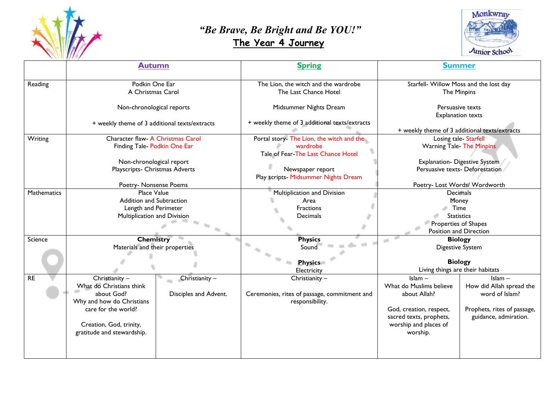

## *"Be Brave, Be Bright and Be YOU!"*   **The Year 4 Journey**



|             | <b>Autumn</b>                                 |                       | <b>Spring</b>                                                 | <b>Summer</b>                                                |                             |
|-------------|-----------------------------------------------|-----------------------|---------------------------------------------------------------|--------------------------------------------------------------|-----------------------------|
| Reading     | Podkin One Ear<br>A Christmas Carol           |                       | The Lion, the witch and the wardrobe<br>The Last Chance Hotel | Starfell- Willow Moss and the lost day<br><b>The Minpins</b> |                             |
|             | Non-chronological reports                     |                       | Midsummer Nights Dream                                        | Persuasive texts<br><b>Explanation texts</b>                 |                             |
|             | + weekly theme of 3 additional texts/extracts |                       | + weekly theme of 3 additional texts/extracts                 | + weekly theme of 3 additional texts/extracts                |                             |
| Writing     | Character flaw- A Christmas Carol             |                       | Portal story- The Lion, the witch and the                     | Losing tale-Starfell                                         |                             |
|             | Finding Tale- Podkin One Ear                  |                       | wardrobe                                                      | <b>Warning Tale- The Minpins</b>                             |                             |
|             |                                               |                       | Tale of Fear-The Last Chance Hotel                            |                                                              |                             |
|             | Non-chronological report                      |                       |                                                               | <b>Explanation- Digestive System</b>                         |                             |
|             | Playscripts- Christmas Adverts                |                       | Newspaper report                                              | Persuasive texts- Deforestation                              |                             |
|             |                                               |                       | Play scripts- Midsummer Nights Dream                          |                                                              |                             |
|             | Poetry- Nonsense Poems                        |                       |                                                               | Poetry- Lost Words/ Wordworth                                |                             |
| Mathematics | Place Value                                   |                       | Multiplication and Division                                   | Decimals                                                     |                             |
|             | Addition and Subtraction                      |                       | Area                                                          | Money                                                        |                             |
|             | Length and Perimeter                          |                       | Fractions                                                     | Time                                                         |                             |
|             | Multiplication and Division                   |                       | Decimals                                                      | <b>Statistics</b><br>Properties of Shapes                    |                             |
|             |                                               |                       |                                                               |                                                              |                             |
| Science     | <b>Chemistry</b>                              |                       | <b>Physics</b>                                                | Position and Direction<br><b>Biology</b>                     |                             |
|             | Materials and their properties                |                       | <b>COL</b><br>Sound                                           | e i<br><b>Digestive System</b>                               |                             |
|             |                                               |                       |                                                               |                                                              |                             |
|             |                                               |                       | <b>Physics</b>                                                | <b>Biology</b>                                               |                             |
|             |                                               |                       | Electricity                                                   | Living things are their habitats                             |                             |
| <b>RE</b>   | Christianity -                                | Christianity -        | Christianity -                                                | $Islam -$                                                    | $lslam -$                   |
|             | What do Christians think                      |                       |                                                               | What do Muslims believe                                      | How did Allah spread the    |
|             | about God?                                    | Disciples and Advent. | Ceremonies, rites of passage, commitment and                  | about Allah?                                                 | word of Islam?              |
|             | Why and how do Christians                     |                       | responsibility.                                               |                                                              |                             |
|             | care for the world?                           |                       |                                                               | God, creation, respect,                                      | Prophets, rites of passage, |
|             |                                               |                       |                                                               | sacred texts, prophets,                                      | guidance, admiration.       |
|             | Creation, God, trinity,                       |                       |                                                               | worship and places of                                        |                             |
|             | gratitude and stewardship.                    |                       |                                                               | worship.                                                     |                             |
|             |                                               |                       |                                                               |                                                              |                             |
|             |                                               |                       |                                                               |                                                              |                             |